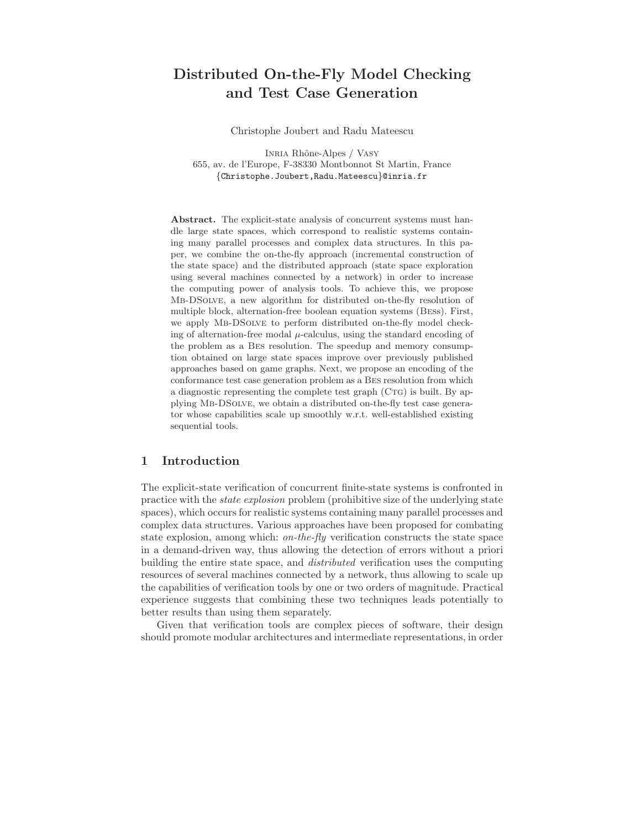# **Distributed On-the-Fly Model Checking and Test Case Generation**

Christophe Joubert and Radu Mateescu

INRIA Rhône-Alpes / VASY 655, av. de l'Europe, F-38330 Montbonnot St Martin, France {Christophe.Joubert,Radu.Mateescu}@inria.fr

**Abstract.** The explicit-state analysis of concurrent systems must handle large state spaces, which correspond to realistic systems containing many parallel processes and complex data structures. In this paper, we combine the on-the-fly approach (incremental construction of the state space) and the distributed approach (state space exploration using several machines connected by a network) in order to increase the computing power of analysis tools. To achieve this, we propose Mb-DSolve, a new algorithm for distributed on-the-fly resolution of multiple block, alternation-free boolean equation systems (Bess). First, we apply Mb-DSolve to perform distributed on-the-fly model checking of alternation-free modal  $\mu$ -calculus, using the standard encoding of the problem as a Bes resolution. The speedup and memory consumption obtained on large state spaces improve over previously published approaches based on game graphs. Next, we propose an encoding of the conformance test case generation problem as a Bes resolution from which a diagnostic representing the complete test graph  $(CTG)$  is built. By applying Mb-DSolve, we obtain a distributed on-the-fly test case generator whose capabilities scale up smoothly w.r.t. well-established existing sequential tools.

## **1 Introduction**

The explicit-state verification of concurrent finite-state systems is confronted in practice with the *state explosion* problem (prohibitive size of the underlying state spaces), which occurs for realistic systems containing many parallel processes and complex data structures. Various approaches have been proposed for combating state explosion, among which: *on-the-fly* verification constructs the state space in a demand-driven way, thus allowing the detection of errors without a priori building the entire state space, and *distributed* verification uses the computing resources of several machines connected by a network, thus allowing to scale up the capabilities of verification tools by one or two orders of magnitude. Practical experience suggests that combining these two techniques leads potentially to better results than using them separately.

Given that verification tools are complex pieces of software, their design should promote modular architectures and intermediate representations, in order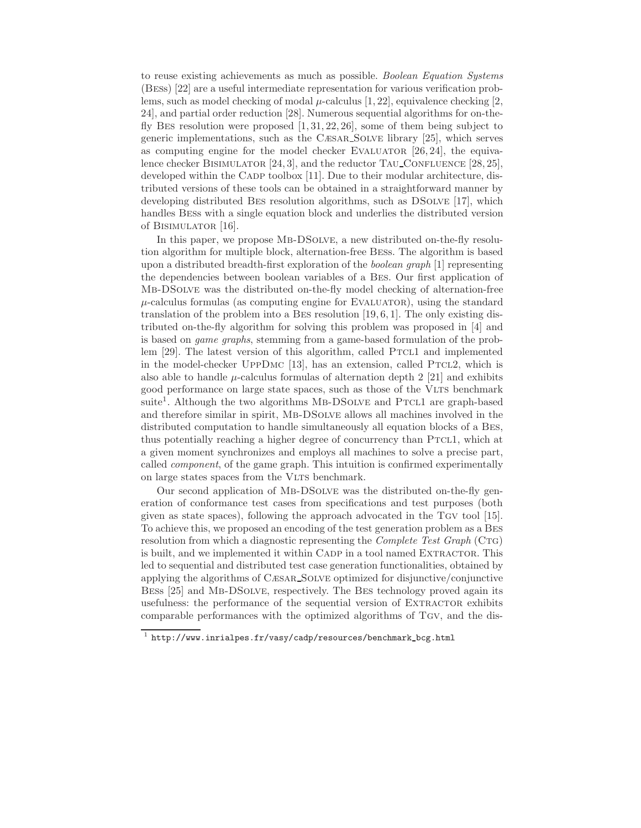to reuse existing achievements as much as possible. *Boolean Equation Systems* (Bess)[22] are a useful intermediate representation for various verification problems, such as model checking of modal  $\mu$ -calculus [1, 22], equivalence checking [2, 24], and partial order reduction [28]. Numerous sequential algorithms for on-thefly Bes resolution were proposed [1, 31, 22, 26], some of them being subject to generic implementations, such as the Cæsar Solve library [25], which serves as computing engine for the model checker EVALUATOR  $[26, 24]$ , the equivalence checker BISIMULATOR  $[24, 3]$ , and the reductor TAU\_CONFLUENCE  $[28, 25]$ , developed within the CADP toolbox [11]. Due to their modular architecture, distributed versions of these tools can be obtained in a straightforward manner by developing distributed Bes resolution algorithms, such as DSolve [17], which handles Bess with a single equation block and underlies the distributed version of Bisimulator [16].

In this paper, we propose Mb-DSolve, a new distributed on-the-fly resolution algorithm for multiple block, alternation-free Bess. The algorithm is based upon a distributed breadth-first exploration of the *boolean graph* [1] representing the dependencies between boolean variables of a Bes. Our first application of Mb-DSolve was the distributed on-the-fly model checking of alternation-free  $\mu$ -calculus formulas (as computing engine for EVALUATOR), using the standard translation of the problem into a Bes resolution [19, 6, 1]. The only existing distributed on-the-fly algorithm for solving this problem was proposed in [4] and is based on *game graphs*, stemming from a game-based formulation of the problem [29]. The latest version of this algorithm, called PTCL1 and implemented in the model-checker UPPDMC  $[13]$ , has an extension, called PTCL2, which is also able to handle  $\mu$ -calculus formulas of alternation depth 2 [21] and exhibits good performance on large state spaces, such as those of the VLTS benchmark suite<sup>1</sup>. Although the two algorithms MB-DSOLVE and PTCL1 are graph-based and therefore similar in spirit, Mb-DSolve allows all machines involved in the distributed computation to handle simultaneously all equation blocks of a Bes, thus potentially reaching a higher degree of concurrency than PTCL1, which at a given moment synchronizes and employs all machines to solve a precise part, called *component*, of the game graph. This intuition is confirmed experimentally on large states spaces from the VLTS benchmark.

Our second application of Mb-DSolve was the distributed on-the-fly generation of conformance test cases from specifications and test purposes (both given as state spaces), following the approach advocated in the Tgv tool [15]. To achieve this, we proposed an encoding of the test generation problem as a Bes resolution from which a diagnostic representing the *Complete Test Graph* (Ctg) is built, and we implemented it within CADP in a tool named EXTRACTOR. This led to sequential and distributed test case generation functionalities, obtained by applying the algorithms of Cæsar Solve optimized for disjunctive/conjunctive Bess [25] and Mb-DSolve, respectively. The Bes technology proved again its usefulness: the performance of the sequential version of EXTRACTOR exhibits comparable performances with the optimized algorithms of Tgv, and the dis-

 $1$  http://www.inrialpes.fr/vasy/cadp/resources/benchmark\_bcg.html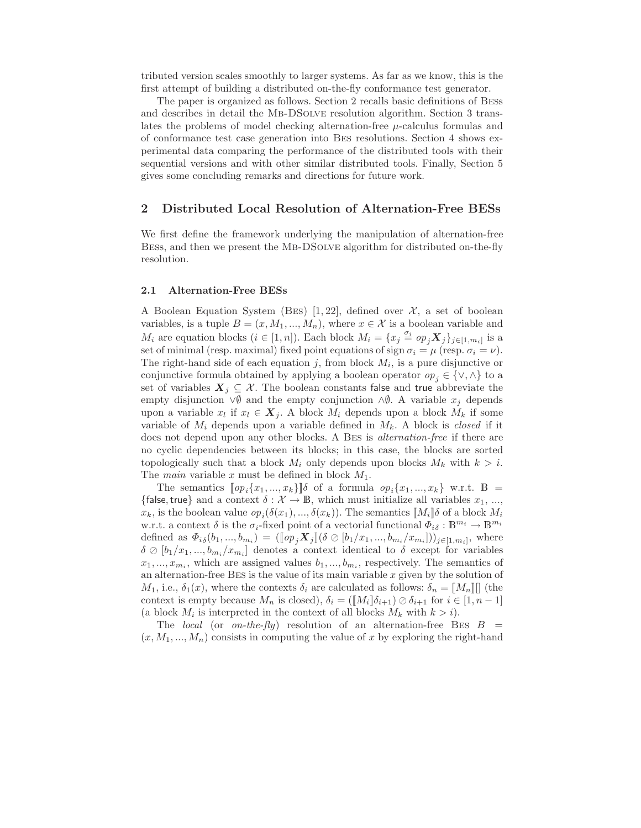tributed version scales smoothly to larger systems. As far as we know, this is the first attempt of building a distributed on-the-fly conformance test generator.

The paper is organized as follows. Section 2 recalls basic definitions of Bess and describes in detail the Mb-DSolve resolution algorithm. Section 3 translates the problems of model checking alternation-free  $\mu$ -calculus formulas and of conformance test case generation into Bes resolutions. Section 4 shows experimental data comparing the performance of the distributed tools with their sequential versions and with other similar distributed tools. Finally, Section 5 gives some concluding remarks and directions for future work.

### **2 Distributed Local Resolution of Alternation-Free BESs**

We first define the framework underlying the manipulation of alternation-free Bess, and then we present the Mb-DSolve algorithm for distributed on-the-fly resolution.

#### **2.1 Alternation-Free BESs**

A Boolean Equation System (BES) [1, 22], defined over  $\mathcal{X}$ , a set of boolean variables, is a tuple  $B = (x, M_1, ..., M_n)$ , where  $x \in \mathcal{X}$  is a boolean variable and  $M_i$  are equation blocks  $(i \in [1, n])$ . Each block  $M_i = \{x_j \stackrel{\sigma_i}{=} op_j \mathbf{X}_j\}_{j \in [1, m_i]}$  is a set of minimal (resp. maximal) fixed point equations of sign  $\sigma_i = \mu$  (resp.  $\sigma_i = \nu$ ). The right-hand side of each equation j, from block  $M_i$ , is a pure disjunctive or conjunctive formula obtained by applying a boolean operator  $op_i \in \{ \vee, \wedge \}$  to a set of variables  $X_j \subseteq \mathcal{X}$ . The boolean constants false and true abbreviate the empty disjunction  $\forall \emptyset$  and the empty conjunction ∧ $\emptyset$ . A variable  $x_j$  depends upon a variable  $x_l$  if  $x_l \in \mathbf{X}_j$ . A block  $M_i$  depends upon a block  $M_k$  if some variable of  $M_i$  depends upon a variable defined in  $M_k$ . A block is *closed* if it does not depend upon any other blocks. A Bes is *alternation-free* if there are no cyclic dependencies between its blocks; in this case, the blocks are sorted topologically such that a block  $M_i$  only depends upon blocks  $M_k$  with  $k>i$ . The *main* variable x must be defined in block  $M_1$ .

The semantics  $[\![op_i{x_1,...,x_k}]\!]$ δ of a formula  $op_i{x_1,...,x_k}$  w.r.t.  $\mathbb{B}$  = {false, true} and a context  $\delta : \mathcal{X} \to \mathbb{B}$ , which must initialize all variables  $x_1, ...,$  $x_k$ , is the boolean value  $op_i(\delta(x_1), ..., \delta(x_k))$ . The semantics  $[M_i]\delta$  of a block  $M_i$ w.r.t. a context  $\delta$  is the  $\sigma_i$ -fixed point of a vectorial functional  $\Phi_{i\delta} : \mathbb{B}^{m_i} \to \mathbb{B}^{m_i}$ defined as  $\Phi_{i\delta}(b_1, ..., b_{m_i}) = (\llbracket op_j \mathbf{X}_j \rrbracket (\delta \oslash [b_1/x_1, ..., b_{m_i}/x_{m_i}]))_{j \in [1, m_i]},$  where  $\delta \oslash [b_1/x_1, ..., b_{m_i}/x_{m_i}]$  denotes a context identical to  $\delta$  except for variables  $x_1, \ldots, x_{m_i}$ , which are assigned values  $b_1, \ldots, b_{m_i}$ , respectively. The semantics of an alternation-free BES is the value of its main variable  $x$  given by the solution of  $M_1$ , i.e.,  $\delta_1(x)$ , where the contexts  $\delta_i$  are calculated as follows:  $\delta_n = \llbracket M_n \rrbracket |$  (the context is empty because  $M_n$  is closed),  $\delta_i = (\llbracket M_i \rrbracket \delta_{i+1}) \oslash \delta_{i+1}$  for  $i \in [1, n-1]$ (a block  $M_i$  is interpreted in the context of all blocks  $M_k$  with  $k>i$ ).

The *local* (or *on-the-fly*) resolution of an alternation-free BES  $B =$  $(x, M_1, ..., M_n)$  consists in computing the value of x by exploring the right-hand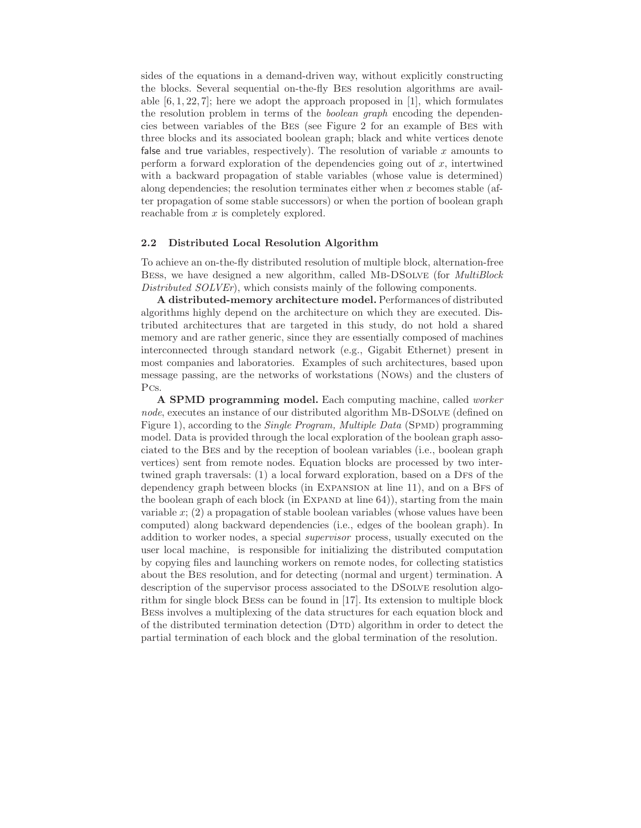sides of the equations in a demand-driven way, without explicitly constructing the blocks. Several sequential on-the-fly Bes resolution algorithms are available  $[6, 1, 22, 7]$ ; here we adopt the approach proposed in [1], which formulates the resolution problem in terms of the *boolean graph* encoding the dependencies between variables of the Bes (see Figure 2 for an example of Bes with three blocks and its associated boolean graph; black and white vertices denote false and true variables, respectively). The resolution of variable  $x$  amounts to perform a forward exploration of the dependencies going out of  $x$ , intertwined with a backward propagation of stable variables (whose value is determined) along dependencies; the resolution terminates either when  $x$  becomes stable (after propagation of some stable successors) or when the portion of boolean graph reachable from x is completely explored.

#### **2.2 Distributed Local Resolution Algorithm**

To achieve an on-the-fly distributed resolution of multiple block, alternation-free Bess, we have designed a new algorithm, called Mb-DSolve (for *MultiBlock Distributed SOLVEr*), which consists mainly of the following components.

**A distributed-memory architecture model.** Performances of distributed algorithms highly depend on the architecture on which they are executed. Distributed architectures that are targeted in this study, do not hold a shared memory and are rather generic, since they are essentially composed of machines interconnected through standard network (e.g., Gigabit Ethernet) present in most companies and laboratories. Examples of such architectures, based upon message passing, are the networks of workstations (Nows) and the clusters of Pcs.

**A SPMD programming model.** Each computing machine, called *worker node*, executes an instance of our distributed algorithm MB-DSOLVE (defined on Figure 1), according to the *Single Program, Multiple Data* (SPMD) programming model. Data is provided through the local exploration of the boolean graph associated to the Bes and by the reception of boolean variables (i.e., boolean graph vertices) sent from remote nodes. Equation blocks are processed by two intertwined graph traversals:  $(1)$  a local forward exploration, based on a DFs of the dependency graph between blocks (in EXPANSION at line 11), and on a BFS of the boolean graph of each block (in EXPAND at line  $(64)$ ), starting from the main variable  $x$ ; (2) a propagation of stable boolean variables (whose values have been computed) along backward dependencies (i.e., edges of the boolean graph). In addition to worker nodes, a special *supervisor* process, usually executed on the user local machine, is responsible for initializing the distributed computation by copying files and launching workers on remote nodes, for collecting statistics about the BES resolution, and for detecting (normal and urgent) termination. A description of the supervisor process associated to the DSolve resolution algorithm for single block Bess can be found in [17]. Its extension to multiple block Bess involves a multiplexing of the data structures for each equation block and of the distributed termination detection (DTD) algorithm in order to detect the partial termination of each block and the global termination of the resolution.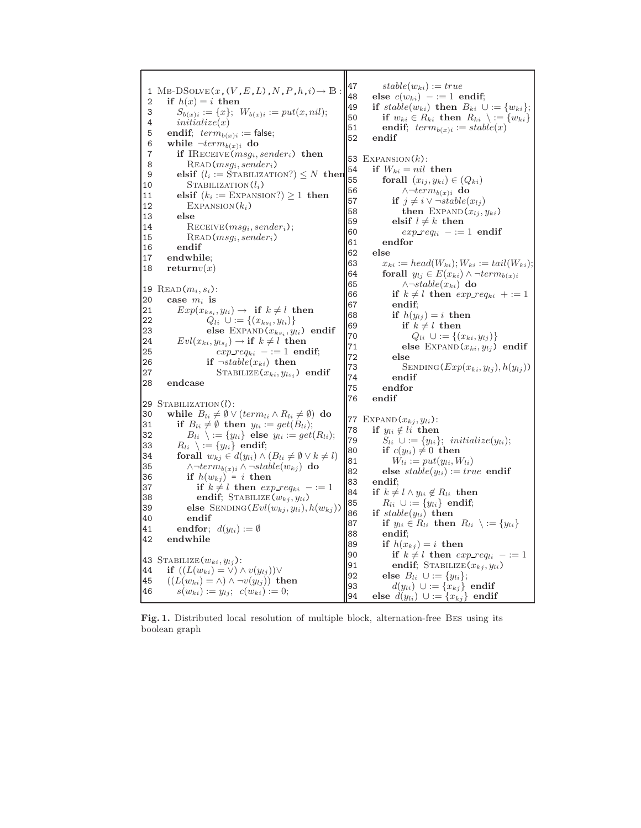1 MB-DSOLVE $(x,(V,E,L),N,P,h,i) \rightarrow \mathbb{B}$  :  $\begin{bmatrix} 47 \\ 48 \end{bmatrix}$ 2 **if**  $h(x) = i$  **then** 3  $S_{b(x)i} := \{x\};\ \ W_{b(x)i} := put(x, nil);$ <br>4 *initialize(x)* 4 *initialize(x)*<br>5 **endif**;  $term_{b(x)}$ 5 endif;  $term_{b(x)i} := false;$ <br>6 while  $\neg term_{b(x)i}$  do 6 while  $\neg term_{b(x)i}$  do<br>7 if IRECEIVE(*msq<sub>i</sub>*, 7 **if** IReceive(msg*i*, sender*i*) **then** 8 READ(*msg<sub>i</sub>*, *sender<sub>i</sub>*) 9 **elsif**  $(l_i := \text{STABILITYATION}?) \leq N$  **then** 10 Stabilization(l*i*) 11 **elsif**  $(k_i := \text{EXPANSION}?) \geq 1$  **then** 12 Expansion(k*i*) 13 **else** 14 RECEIVE(*msg<sub>i</sub>*, *sender<sub>i</sub>*);<br>15 READ(*msg<sub>i</sub>*, *sender<sub>i</sub>*) 15 Read(msg*i*, sender*i*) 16 **endif**  $\begin{vmatrix} 17 & \text{endwhile;} \\ 18 & \text{return } v(x) \end{vmatrix}$  $returnv(x)$ 19  $\text{READ}(m_i, s_i)$ : 20 **case**  $m_i$  is <br>21  $Exp(x_{ks})$ 21  $Exp(x_{ks_i}, y_{li}) \rightarrow \textbf{if } k \neq l \textbf{ then}$ <br>22  $Q_{li} \cup := \{(x_{ks_i}, y_{li})\}$ 22  $Q_{li} \cup := \{(x_{ks_i}, y_{li})\}$ <br>
23 **else** EXPAND $(x_{ks_i}, y_{li})$ 23 **else** Expand $(x_{ks_i}, y_{li})$  **endif**<br>24  $Evl(x_{ki}, y_{ls_i}) \rightarrow$  **if**  $k \neq l$  **then** 24  $Evl(x_{ki}, y_{ls_i}) \rightarrow \textbf{if } k \neq l \textbf{ then}$ <br>25  $exp\_req_{ki} - := 1 \textbf{ }$  $exp\_req_{ki}$  − := 1 **endif**; 26 **if**  $\neg stable(x_{ki})$  **then**<br>27 STABILIZE $(x_{ki}, y_{ls})$ 27 STABILIZE $(x_{ki}, y_{ls_i})$  endif<br>28 endcase endcase 29 STABILIZATION(*l*):<br>30 while  $B_{li} \neq \emptyset$ 30 **while**  $B_{li} \neq \emptyset \vee (term_{li} \wedge R_{li} \neq \emptyset)$  **do**<br>31 **if**  $B_{li} \neq \emptyset$  **then**  $y_{li} := det(B_{li})$ ; if  $B_{li} \neq \emptyset$  then  $y_{li} := get(B_{li});$ 32  $B_{li} \setminus := \{y_{li}\}$  else  $y_{li} := get(R_{li});$ 33  $R_{li} \leq \{y_{li}\}$  **endif**;<br>34 **forall**  $w_{ki} \in d(y_{li}) \wedge$ **forall**  $w_{kj}$  ∈  $d(y_{li})$  ∧  $(B_{li} \neq \emptyset \lor k \neq l)$ 35  $\wedge \neg \text{term}_{b(x)i} \wedge \neg \text{stable}(w_{kj})$  **do**<br>36 **if**  $h(w_{kj}) = i$  **then** 36 **if**  $h(w_{kj}) = i$  then<br>37 **if**  $k \neq l$  then example 37 **if**  $k \neq l$  **then**  $exp_{\mathcal{I}} \cdot reg_{ki} - := 1$ <br>38 **endif**:  $STABILITY(w_{ki}, y_{li})$ endif;  $S$ TABILIZE $(w_{kj}, y_{li})$ 39 else SENDING( $Evl(w_{kj}, y_{li}), h(w_{kj})$ )<br>40 endif 40 **endif** 41 **endfor**;  $d(y_{li}) := \emptyset$ 42 **endwhile** 43 STABILIZE $(w_{ki}, y_{lj})$ : 44 **if**  $((L(w_{ki}) = \vee) \wedge v(y_{li})) \vee$ 45  $((L(w_{ki}) = \wedge) \wedge \neg v(y_{lj}))$  then<br>46  $s(w_{ki}) := y_{li}; \ c(w_{ki}) := 0;$  $s(w_{ki}) := y_{lj}; \ \ c(w_{ki}) := 0;$  $stable(w_{ki}) := true$  $\text{else } c(w_{ki}) = \text{:= } 1 \text{ endif};$ 49 **if** stable( $w_{ki}$ ) **then**  $B_{ki} \cup := \{w_{ki}\}$ ;<br>50 **if**  $w_{ki} \in B_{ki}$  **then**  $B_{ki} \setminus := \{w_{ki}\}$ if  $w_{ki} \in R_{ki}$  then  $R_{ki} \setminus := \{w_{ki}\}\$ 51 **endif**;  $term_{b(x)i} := stable(x)$ <br>52 **endif** 52 **endif** 53 EXPANSION $(k)$ : 54 **if**  $W_{ki} = nil$  **then**<br>55 **forall**  $(x_{li}, y_{ki})$ forall  $(x_{lj}, y_{ki}) \in (Q_{ki})$ 56  $\wedge \neg term_{b(x)i}$  **do**<br>57 **if**  $j \neq i \vee \neg stable($ 57 **if**  $j \neq i \vee \neg stable(x_{lj})$ <br>58 **ihen** EXPAND $(x_{li})$ 58 **then** EXPAND $(x_{lj}, y_{ki})$ <br>59 **elsif**  $l \neq k$  **then** elsif  $l \neq k$  then 60 exp req*li* − := 1 **endif** 61 **endfor** 62 **else** 63  $x_{ki} := head(W_{ki}); W_{ki} := tail(W_{ki})$ <br>64 **forall**  $y_{li} \in E(x_{ki}) \wedge \neg term_{b(x)i}$ 64 **forall** y*lj* ∈ E(x*ki*) ∧ ¬term*b*(*x*)*<sup>i</sup>* 65  $\wedge \neg stable(x_{ki})$  **do**<br>66 **if**  $k \neq l$  **then**  $exp_T$ 66 **if**  $k \neq l$  **then**  $exp\_req_{ki} + := 1$ <br>67 **endif**; 67 **endif**;<br>68 **if**  $h(u)$ 68 **if**  $h(y_{lj}) = i$  **then**<br>69 **if**  $k \neq l$  **then** if  $k \neq l$  then 70  $Q_{li} \cup := \{(x_{ki}, y_{lj})\}$ 71 **else**  $\text{EXPAND}(x_{ki}, y_{lj})$  **endif**<br>
72 **else** 72 **else** 73 SENDING( $Exp(x_{ki}, y_{lj}), h(y_{lj})$ )<br>74 **endif** endif 75 **endfor** 76 **endif** 77 EXPAND $(x_{kj}, y_{li})$ :<br>78 if  $y_{li} \notin li$  then if  $y_{li} \notin li$  then 79  $S_{li}$  ∪ := { $y_{li}$ }; *initialize*( $y_{li}$ ); 80 **if**  $c(y_{li}) \neq 0$  **then**<br>81  $W_{li} := put(y_{li}, W)$ 81  $W_{li} := put(y_{li}, W_{li})$ <br>82 **else** stable $(y_{li}) := tru$ 82 **else**  $stable(y_{li}) := true$  **endif**<br>83 **endif** 83 **endif**; 84 **if**  $k \neq l \land y_{li} \notin R_{li}$  then<br>85  $R_{li} \cup := \{y_{li}\}\$ endif: 85  $R_{li} \cup := \{y_{li}\}$  endif;<br>86 if  $stable(y_{li})$  then if  $stable(y_{li})$  then 87 **if**  $y_{li} \in R_{li}$  **then**  $R_{li} \setminus := \{y_{li}\}\$ <br>88 **endif**; 88 **endif**;<br>89 **if**  $h(x)$ 89 **if**  $h(x_{kj}) = i$  **then**<br>90 **if**  $k \neq l$  **then** ex **if**  $k \neq l$  **then**  $exp\_req_{li}$  – := 1 91 **endif**;  $STABILITY(x_{kj}, y_{li})$ 92 **else**  $B_{li} \cup := \{y_{li}\};$ <br>93  $d(y_{li}) \cup := \{x_{ki}\}$ 93  $d(y_{li}) \cup := \{x_{kj}\}\)$  endif<br>94 **else**  $d(y_{li}) \cup := \{x_{kj}\}\$  endif **else**  $d(y_{ii}) \cup \{x_{kj}\}$  **endif** 

**Fig. 1.** Distributed local resolution of multiple block, alternation-free Bes using its boolean graph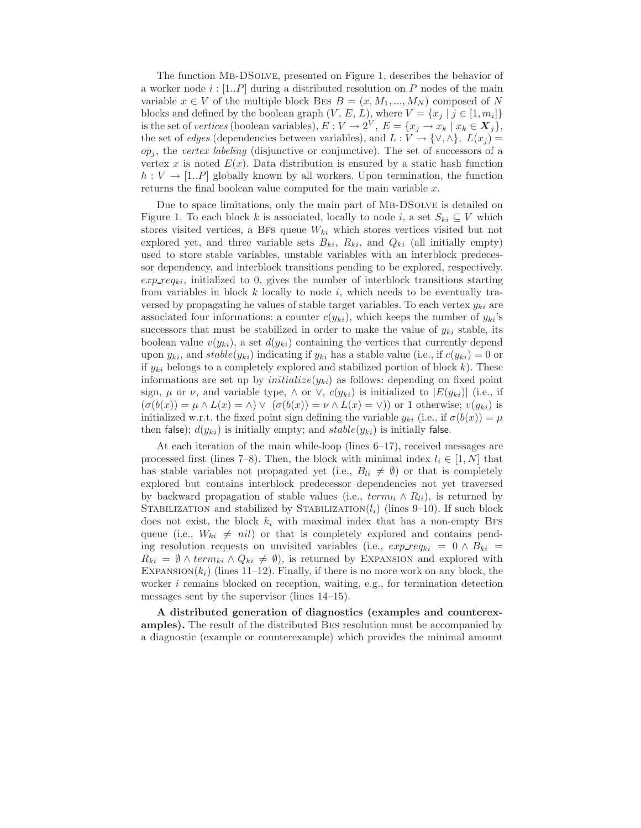The function Mb-DSolve, presented on Figure 1, describes the behavior of a worker node  $i: [1..P]$  during a distributed resolution on P nodes of the main variable  $x \in V$  of the multiple block BES  $B = (x, M_1, ..., M_N)$  composed of N blocks and defined by the boolean graph  $(V, E, L)$ , where  $V = \{x_j \mid j \in [1, m_i]\}$ is the set of *vertices* (boolean variables),  $E: V \to 2^V$ ,  $E = \{x_j \to x_k \mid x_k \in X_j\}$ , the set of *edges* (dependencies between variables), and  $L: V \to \{V, \wedge\}$ ,  $L(x_i) =$  $op_i$ , the *vertex labeling* (disjunctive or conjunctive). The set of successors of a vertex x is noted  $E(x)$ . Data distribution is ensured by a static hash function  $h: V \to [1..P]$  globally known by all workers. Upon termination, the function returns the final boolean value computed for the main variable x.

Due to space limitations, only the main part of MB-DSOLVE is detailed on Figure 1. To each block k is associated, locally to node i, a set  $S_{ki} \subseteq V$  which stores visited vertices, a BFs queue  $W_{ki}$  which stores vertices visited but not explored yet, and three variable sets  $B_{ki}$ ,  $R_{ki}$ , and  $Q_{ki}$  (all initially empty) used to store stable variables, unstable variables with an interblock predecessor dependency, and interblock transitions pending to be explored, respectively.  $exp\_req_{ki}$ , initialized to 0, gives the number of interblock transitions starting from variables in block  $k$  locally to node  $i$ , which needs to be eventually traversed by propagating he values of stable target variables. To each vertex  $y_{ki}$  are associated four informations: a counter  $c(y_{ki})$ , which keeps the number of  $y_{ki}$ 's successors that must be stabilized in order to make the value of  $y_{ki}$  stable, its boolean value  $v(y_{ki})$ , a set  $d(y_{ki})$  containing the vertices that currently depend upon  $y_{ki}$ , and  $stable(y_{ki})$  indicating if  $y_{ki}$  has a stable value (i.e., if  $c(y_{ki}) = 0$  or if  $y_{ki}$  belongs to a completely explored and stabilized portion of block k). These informations are set up by  $initialize(y_{ki})$  as follows: depending on fixed point sign,  $\mu$  or  $\nu$ , and variable type,  $\wedge$  or  $\vee$ ,  $c(y_{ki})$  is initialized to  $|E(y_{ki})|$  (i.e., if  $(\sigma(b(x)) = \mu \wedge L(x) = \wedge) \vee (\sigma(b(x)) = \nu \wedge L(x) = \vee)$  or 1 otherwise;  $v(y_{ki})$  is initialized w.r.t. the fixed point sign defining the variable  $y_{ki}$  (i.e., if  $\sigma(b(x)) = \mu$ then false);  $d(y_{ki})$  is initially empty; and  $stable(y_{ki})$  is initially false.

At each iteration of the main while-loop (lines 6–17), received messages are processed first (lines 7–8). Then, the block with minimal index  $l_i \in [1, N]$  that has stable variables not propagated yet (i.e.,  $B_{li} \neq \emptyset$ ) or that is completely explored but contains interblock predecessor dependencies not yet traversed by backward propagation of stable values (i.e.,  $term_{li} \wedge R_{li}$ ), is returned by STABILIZATION and stabilized by STABILIZATION $(l_i)$  (lines 9–10). If such block does not exist, the block  $k_i$  with maximal index that has a non-empty BFS queue (i.e.,  $W_{ki} \neq nil$ ) or that is completely explored and contains pending resolution requests on unvisited variables (i.e.,  $exp\_req_{ki} = 0 \land B_{ki} =$  $R_{ki} = \emptyset \wedge term_{ki} \wedge Q_{ki} \neq \emptyset$ , is returned by EXPANSION and explored with EXPANSION( $k_i$ ) (lines 11–12). Finally, if there is no more work on any block, the worker i remains blocked on reception, waiting, e.g., for termination detection messages sent by the supervisor (lines 14–15).

**A distributed generation of diagnostics (examples and counterexamples).** The result of the distributed Bes resolution must be accompanied by a diagnostic (example or counterexample) which provides the minimal amount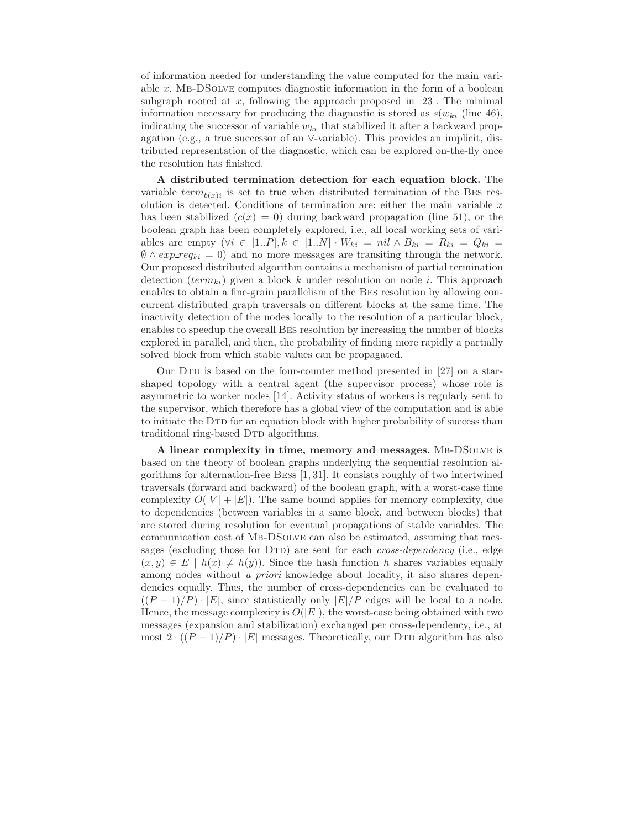of information needed for understanding the value computed for the main variable x. Mb-DSolve computes diagnostic information in the form of a boolean subgraph rooted at x, following the approach proposed in [23]. The minimal information necessary for producing the diagnostic is stored as  $s(w_{ki}$  (line 46), indicating the successor of variable  $w_{ki}$  that stabilized it after a backward propagation (e.g., a true successor of an ∨-variable). This provides an implicit, distributed representation of the diagnostic, which can be explored on-the-fly once the resolution has finished.

**A distributed termination detection for each equation block.** The variable  $term_{b(x)i}$  is set to true when distributed termination of the BES resolution is detected. Conditions of termination are: either the main variable  $x$ has been stabilized  $(c(x) = 0)$  during backward propagation (line 51), or the boolean graph has been completely explored, i.e., all local working sets of variables are empty  $(\forall i \in [1..P], k \in [1..N] \cdot W_{ki} = nil \wedge B_{ki} = R_{ki} = Q_{ki}$  $\emptyset \wedge exp\_req_{ki} = 0$  and no more messages are transiting through the network. Our proposed distributed algorithm contains a mechanism of partial termination detection  $term_{ki}$  given a block k under resolution on node i. This approach enables to obtain a fine-grain parallelism of the Bes resolution by allowing concurrent distributed graph traversals on different blocks at the same time. The inactivity detection of the nodes locally to the resolution of a particular block, enables to speedup the overall Bes resolution by increasing the number of blocks explored in parallel, and then, the probability of finding more rapidly a partially solved block from which stable values can be propagated.

Our DTD is based on the four-counter method presented in  $[27]$  on a starshaped topology with a central agent (the supervisor process) whose role is asymmetric to worker nodes [14]. Activity status of workers is regularly sent to the supervisor, which therefore has a global view of the computation and is able to initiate the DTD for an equation block with higher probability of success than traditional ring-based DTD algorithms.

**A linear complexity in time, memory and messages.** Mb-DSolve is based on the theory of boolean graphs underlying the sequential resolution algorithms for alternation-free Bess [1, 31]. It consists roughly of two intertwined traversals (forward and backward) of the boolean graph, with a worst-case time complexity  $O(|V| + |E|)$ . The same bound applies for memory complexity, due to dependencies (between variables in a same block, and between blocks) that are stored during resolution for eventual propagations of stable variables. The communication cost of Mb-DSolve can also be estimated, assuming that messages (excluding those for DTD) are sent for each *cross-dependency* (i.e., edge  $(x, y) \in E \mid h(x) \neq h(y)$ . Since the hash function h shares variables equally among nodes without *a priori* knowledge about locality, it also shares dependencies equally. Thus, the number of cross-dependencies can be evaluated to  $((P-1)/P) \cdot |E|$ , since statistically only  $|E|/P$  edges will be local to a node. Hence, the message complexity is  $O(|E|)$ , the worst-case being obtained with two messages (expansion and stabilization) exchanged per cross-dependency, i.e., at most  $2 \cdot ((P-1)/P) \cdot |E|$  messages. Theoretically, our DTD algorithm has also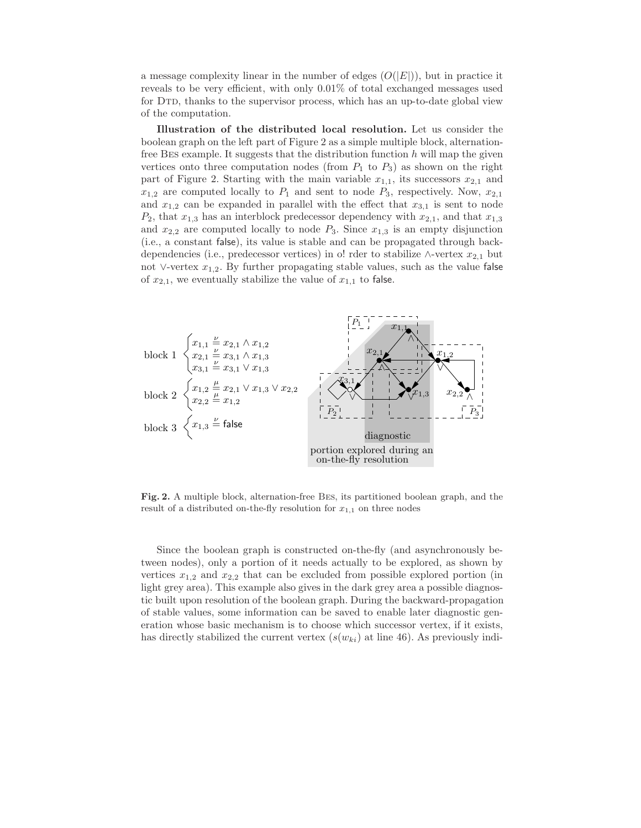a message complexity linear in the number of edges  $(O(|E|))$ , but in practice it reveals to be very efficient, with only 0.01% of total exchanged messages used for D<sub>TD</sub>, thanks to the supervisor process, which has an up-to-date global view of the computation.

**Illustration of the distributed local resolution.** Let us consider the boolean graph on the left part of Figure 2 as a simple multiple block, alternationfree BES example. It suggests that the distribution function  $h$  will map the given vertices onto three computation nodes (from  $P_1$  to  $P_3$ ) as shown on the right part of Figure 2. Starting with the main variable  $x_{1,1}$ , its successors  $x_{2,1}$  and  $x_{1,2}$  are computed locally to  $P_1$  and sent to node  $P_3$ , respectively. Now,  $x_{2,1}$ and  $x_{1,2}$  can be expanded in parallel with the effect that  $x_{3,1}$  is sent to node  $P_2$ , that  $x_{1,3}$  has an interblock predecessor dependency with  $x_{2,1}$ , and that  $x_{1,3}$ and  $x_{2,2}$  are computed locally to node  $P_3$ . Since  $x_{1,3}$  is an empty disjunction (i.e., a constant false), its value is stable and can be propagated through backdependencies (i.e., predecessor vertices) in o! rder to stabilize  $\wedge$ -vertex  $x_{2,1}$  but not ∨-vertex  $x_{1,2}$ . By further propagating stable values, such as the value false of  $x_{2,1}$ , we eventually stabilize the value of  $x_{1,1}$  to false.



**Fig. 2.** A multiple block, alternation-free Bes, its partitioned boolean graph, and the result of a distributed on-the-fly resolution for  $x_{1,1}$  on three nodes

Since the boolean graph is constructed on-the-fly (and asynchronously between nodes), only a portion of it needs actually to be explored, as shown by vertices  $x_{1,2}$  and  $x_{2,2}$  that can be excluded from possible explored portion (in light grey area). This example also gives in the dark grey area a possible diagnostic built upon resolution of the boolean graph. During the backward-propagation of stable values, some information can be saved to enable later diagnostic generation whose basic mechanism is to choose which successor vertex, if it exists, has directly stabilized the current vertex  $(s(w_{ki})$  at line 46). As previously indi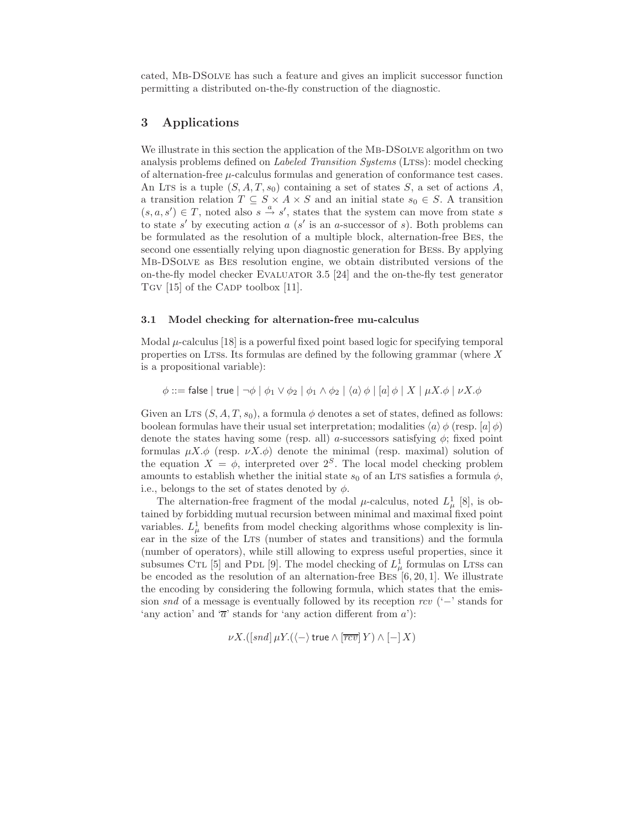cated, Mb-DSolve has such a feature and gives an implicit successor function permitting a distributed on-the-fly construction of the diagnostic.

## **3 Applications**

We illustrate in this section the application of the MB-DSOLVE algorithm on two analysis problems defined on *Labeled Transition Systems* (LTSs): model checking of alternation-free  $\mu$ -calculus formulas and generation of conformance test cases. An Lts is a tuple  $(S, A, T, s_0)$  containing a set of states S, a set of actions A, a transition relation  $T \subseteq S \times A \times S$  and an initial state  $s_0 \in S$ . A transition  $(s, a, s') \in T$ , noted also  $s \stackrel{a}{\rightarrow} s'$ , states that the system can move from state s to state s' by executing action a (s' is an a-successor of s). Both problems can be formulated as the resolution of a multiple block, alternation-free Bes, the second one essentially relying upon diagnostic generation for Bess. By applying Mb-DSolve as Bes resolution engine, we obtain distributed versions of the on-the-fly model checker Evaluator 3.5 [24] and the on-the-fly test generator TGV [15] of the CADP toolbox [11].

#### **3.1 Model checking for alternation-free mu-calculus**

Modal  $\mu$ -calculus [18] is a powerful fixed point based logic for specifying temporal properties on LTSs. Its formulas are defined by the following grammar (where  $X$ is a propositional variable):

 $\phi ::=$  false | true  $|\neg \phi | \phi_1 \vee \phi_2 | \phi_1 \wedge \phi_2 | \langle a \rangle \phi | [a] \phi | X | \mu X. \phi | \nu X. \phi$ 

Given an LTS  $(S, A, T, s_0)$ , a formula  $\phi$  denotes a set of states, defined as follows: boolean formulas have their usual set interpretation; modalities  $\langle a \rangle \phi$  (resp.  $[a] \phi$ ) denote the states having some (resp. all) a-successors satisfying  $\phi$ ; fixed point formulas  $\mu X.\phi$  (resp.  $\nu X.\phi$ ) denote the minimal (resp. maximal) solution of the equation  $X = \phi$ , interpreted over  $2^S$ . The local model checking problem amounts to establish whether the initial state  $s_0$  of an LTS satisfies a formula  $\phi$ , i.e., belongs to the set of states denoted by  $\phi$ .

The alternation-free fragment of the modal  $\mu$ -calculus, noted  $L^1_\mu$  [8], is obtained by forbidding mutual recursion between minimal and maximal fixed point variables.  $L^1_\mu$  benefits from model checking algorithms whose complexity is linear in the size of the LTS (number of states and transitions) and the formula (number of operators), while still allowing to express useful properties, since it subsumes CTL [5] and PDL [9]. The model checking of  $L^1_\mu$  formulas on LTSs can be encoded as the resolution of an alternation-free Bes [6, 20, 1]. We illustrate the encoding by considering the following formula, which states that the emission *snd* of a message is eventually followed by its reception *rcv* ('−' stands for 'any action' and ' $\bar{a}$ ' stands for 'any action different from a'):

$$
\nu X.([snd] \, \mu Y.(\langle - \rangle \, \text{true} \land [\overline{rcv}] \, Y) \land [-] \, X)
$$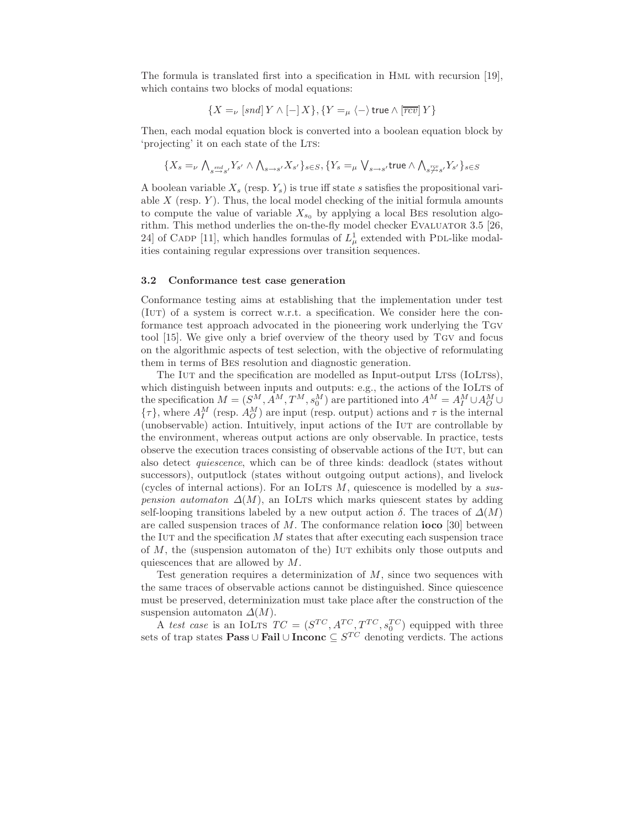The formula is translated first into a specification in Hml with recursion [19], which contains two blocks of modal equations:

$$
\{X =_\nu [snd] Y \land [-] X\}, \{Y =_\mu \langle -\rangle \text{true} \land [\overline{rcv}] Y\}
$$

Then, each modal equation block is converted into a boolean equation block by 'projecting' it on each state of the LTS:

$$
\{X_s =_{\nu} \bigwedge\nolimits_{s \xrightarrow{sd} s'} Y_{s'} \wedge \bigwedge\nolimits_{s \xrightarrow{} s'} X_{s'} \}_{s \in S}, \{Y_s =_{\mu} \bigvee\nolimits_{s \xrightarrow{} s'} \mathsf{true} \wedge \bigwedge\nolimits_{s \xrightarrow{r v} s'} Y_{s'} \}_{s \in S}
$$

A boolean variable  $X_s$  (resp.  $Y_s$ ) is true iff state s satisfies the propositional variable  $X$  (resp.  $Y$ ). Thus, the local model checking of the initial formula amounts to compute the value of variable  $X_{s_0}$  by applying a local BES resolution algorithm. This method underlies the on-the-fly model checker EVALUATOR 3.5 [26, 24] of CADP [11], which handles formulas of  $L^1_\mu$  extended with PDL-like modalities containing regular expressions over transition sequences.

#### **3.2 Conformance test case generation**

Conformance testing aims at establishing that the implementation under test  $(IUT)$  of a system is correct w.r.t. a specification. We consider here the conformance test approach advocated in the pioneering work underlying the Tgv tool [15]. We give only a brief overview of the theory used by Tgv and focus on the algorithmic aspects of test selection, with the objective of reformulating them in terms of Bes resolution and diagnostic generation.

The Iut and the specification are modelled as Input-output Ltss (IoLtss), which distinguish between inputs and outputs: e.g., the actions of the IoLTs of the specification  $M = (S^M, A^M, T^M, s_0^M)$  are partitioned into  $A^M = A^M_I \cup A^M_O \cup$  $\{\tau\}$ , where  $A_I^M$  (resp.  $A_O^M$ ) are input (resp. output) actions and  $\tau$  is the internal (unobservable) action. Intuitively, input actions of the IUT are controllable by the environment, whereas output actions are only observable. In practice, tests observe the execution traces consisting of observable actions of the Iut, but can also detect *quiescence*, which can be of three kinds: deadlock (states without successors), outputlock (states without outgoing output actions), and livelock (cycles of internal actions). For an IoLts M, quiescence is modelled by a *suspension automaton*  $\Delta(M)$ , an IoLTs which marks quiescent states by adding self-looping transitions labeled by a new output action  $\delta$ . The traces of  $\Delta(M)$ are called suspension traces of M. The conformance relation **ioco** [30] between the Iut and the specification  $M$  states that after executing each suspension trace of  $M$ , the (suspension automaton of the) IUT exhibits only those outputs and quiescences that are allowed by M.

Test generation requires a determinization of  $M$ , since two sequences with the same traces of observable actions cannot be distinguished. Since quiescence must be preserved, determinization must take place after the construction of the suspension automaton  $\Delta(M)$ .

A *test case* is an IoLTS  $TC = (S^{TC}, A^{TC}, T^{TC}, s_0^{TC})$  equipped with three sets of trap states **Pass** ∪ **Fail** ∪ **Inconc**  $\subseteq S^{TC}$  denoting verdicts. The actions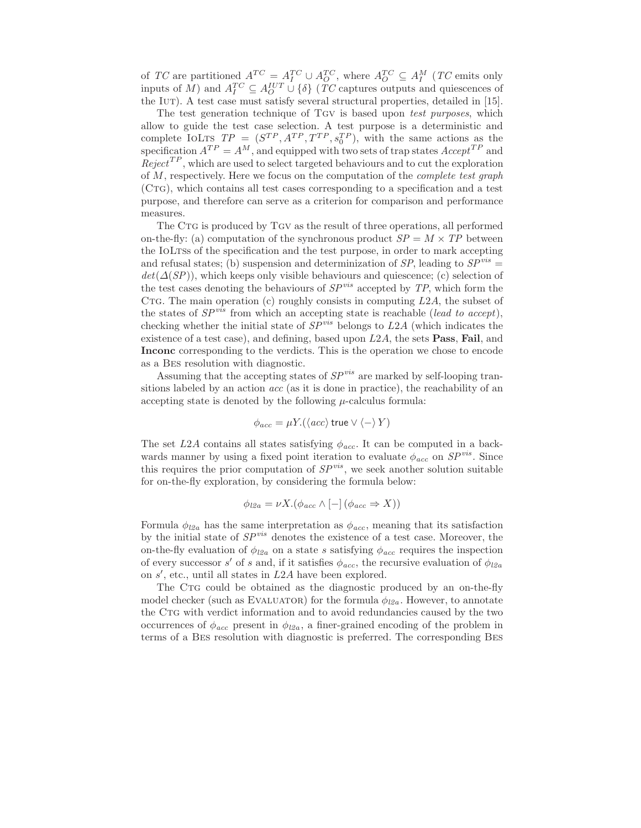of *TC* are partitioned  $A^{TC} = A^{TC}_I \cup A^{TC}_O$ , where  $A^{TC}_O \subseteq A^{M}_I$  (*TC* emits only inputs of M) and  $A_I^{TC} \subseteq A_O^{IUT} \cup {\delta}$  (*TC* captures outputs and quiescences of the Iur). A test case must satisfy several structural properties, detailed in [15].

The test generation technique of Tgv is based upon *test purposes*, which allow to guide the test case selection. A test purpose is a deterministic and complete IoLTs  $TP = (S^{TP}, A^{TP}, T^{TP}, s_0^{TP})$ , with the same actions as the specification  $A^{TP} = A^M$ , and equipped with two sets of trap states  $Accept^{TP}$  and  $Reject^{\text{TP}}$ , which are used to select targeted behaviours and to cut the exploration of M, respectively. Here we focus on the computation of the *complete test graph* (CTG), which contains all test cases corresponding to a specification and a test purpose, and therefore can serve as a criterion for comparison and performance measures.

The C<sub>TG</sub> is produced by T<sub>GV</sub> as the result of three operations, all performed on-the-fly: (a) computation of the synchronous product  $SP = M \times TP$  between the IoLTss of the specification and the test purpose, in order to mark accepting and refusal states; (b) suspension and determinization of *SP*, leading to  $SP^{vis}$  =  $det(\Delta(SP))$ , which keeps only visible behaviours and quiescence; (c) selection of the test cases denoting the behaviours of *SPvis* accepted by *TP*, which form the CTG. The main operation (c) roughly consists in computing  $L2A$ , the subset of the states of *SPvis* from which an accepting state is reachable (*lead to accept*), checking whether the initial state of *SPvis* belongs to L2A (which indicates the existence of a test case), and defining, based upon L2A, the sets **Pass**, **Fail**, and **Inconc** corresponding to the verdicts. This is the operation we chose to encode as a Bes resolution with diagnostic.

Assuming that the accepting states of *SPvis* are marked by self-looping transitions labeled by an action *acc* (as it is done in practice), the reachability of an accepting state is denoted by the following  $\mu$ -calculus formula:

$$
\phi_{acc} = \mu Y. (\langle acc \rangle \text{ true } \vee \langle - \rangle Y)
$$

The set L2A contains all states satisfying  $\phi_{acc}$ . It can be computed in a backwards manner by using a fixed point iteration to evaluate  $\phi_{acc}$  on  $SP^{vis}$ . Since this requires the prior computation of *SPvis* , we seek another solution suitable for on-the-fly exploration, by considering the formula below:

$$
\phi_{l2a} = \nu X. (\phi_{acc} \land [-] (\phi_{acc} \Rightarrow X))
$$

Formula  $\phi_{l2a}$  has the same interpretation as  $\phi_{acc}$ , meaning that its satisfaction by the initial state of *SPvis* denotes the existence of a test case. Moreover, the on-the-fly evaluation of  $\phi_{l2a}$  on a state s satisfying  $\phi_{acc}$  requires the inspection of every successor s' of s and, if it satisfies  $\phi_{acc}$ , the recursive evaluation of  $\phi_{l2a}$ on  $s'$ , etc., until all states in  $L2A$  have been explored.

The CTG could be obtained as the diagnostic produced by an on-the-fly model checker (such as EVALUATOR) for the formula  $\phi_{l2a}$ . However, to annotate the C<sub>TG</sub> with verdict information and to avoid redundancies caused by the two occurrences of  $\phi_{acc}$  present in  $\phi_{l2a}$ , a finer-grained encoding of the problem in terms of a Bes resolution with diagnostic is preferred. The corresponding Bes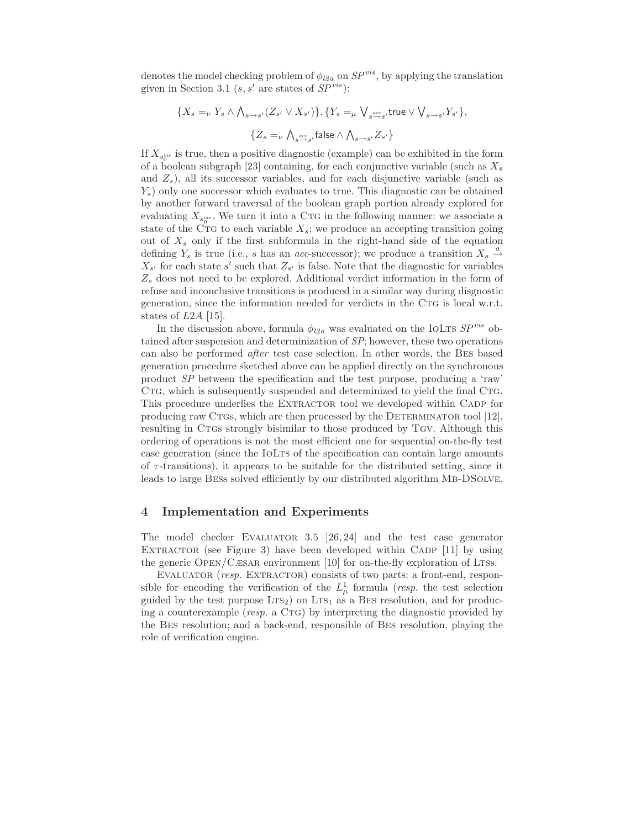denotes the model checking problem of  $\phi_{l2a}$  on  $SP^{vis}$ , by applying the translation given in Section 3.1 (s, s' are states of  $SP^{vis}$ ):

$$
\begin{aligned} \{X_s =_{\nu} Y_s \wedge \bigwedge_{s \to s'} (Z_{s'} \vee X_{s'})\}, \{Y_s =_{\mu} \bigvee_{s \stackrel{acc}{\to} s'} \text{true} \vee \bigvee_{s \to s'} Y_{s'}\},\\ \{Z_s =_{\nu} \bigwedge_{s \stackrel{acc}{\to} s'} \text{false} \wedge \bigwedge_{s \to s'} Z_{s'}\} \end{aligned}
$$

If  $X_{s_0^{vis}}$  is true, then a positive diagnostic (example) can be exhibited in the form of a boolean subgraph [23] containing, for each conjunctive variable (such as  $X_s$ and  $Z_s$ ), all its successor variables, and for each disjunctive variable (such as  $Y_s$ ) only one successor which evaluates to true. This diagnostic can be obtained by another forward traversal of the boolean graph portion already explored for evaluating  $X_{s_0^{vis}}$ . We turn it into a C<sub>TG</sub> in the following manner: we associate a state of the CTG to each variable  $X_s$ ; we produce an accepting transition going out of  $X_s$  only if the first subformula in the right-hand side of the equation defining  $Y_s$  is true (i.e., s has an *acc*-successor); we produce a transition  $X_s \stackrel{a}{\rightarrow}$  $X_{s'}$  for each state  $s'$  such that  $Z_{s'}$  is false. Note that the diagnostic for variables  $Z_s$  does not need to be explored. Additional verdict information in the form of refuse and inconclusive transitions is produced in a similar way during disgnostic generation, since the information needed for verdicts in the CTG is local w.r.t. states of L2A [15].

In the discussion above, formula  $\phi_{l2a}$  was evaluated on the IoLTs  $SP^{vis}$  obtained after suspension and determinization of *SP*; however, these two operations can also be performed *after* test case selection. In other words, the Bes based generation procedure sketched above can be applied directly on the synchronous product *SP* between the specification and the test purpose, producing a 'raw' CTG, which is subsequently suspended and determinized to yield the final CTG. This procedure underlies the EXTRACTOR tool we developed within CADP for producing raw CTGs, which are then processed by the DETERMINATOR tool  $[12]$ , resulting in Crgs strongly bisimilar to those produced by Tgv. Although this ordering of operations is not the most efficient one for sequential on-the-fly test case generation (since the IoLTs of the specification can contain large amounts of  $\tau$ -transitions), it appears to be suitable for the distributed setting, since it leads to large Bess solved efficiently by our distributed algorithm Mb-DSolve.

## **4 Implementation and Experiments**

The model checker EVALUATOR  $3.5\,$  [26, 24] and the test case generator EXTRACTOR (see Figure 3) have been developed within CADP  $[11]$  by using the generic OPEN/CÆSAR environment [10] for on-the-fly exploration of LTSs.

EVALUATOR (*resp.* EXTRACTOR) consists of two parts: a front-end, responsible for encoding the verification of the  $L^1_\mu$  formula (*resp.* the test selection guided by the test purpose  $LTS_2$ ) on  $LTS_1$  as a BES resolution, and for producing a counterexample ( $resp$ . a CTG) by interpreting the diagnostic provided by the Bes resolution; and a back-end, responsible of Bes resolution, playing the role of verification engine.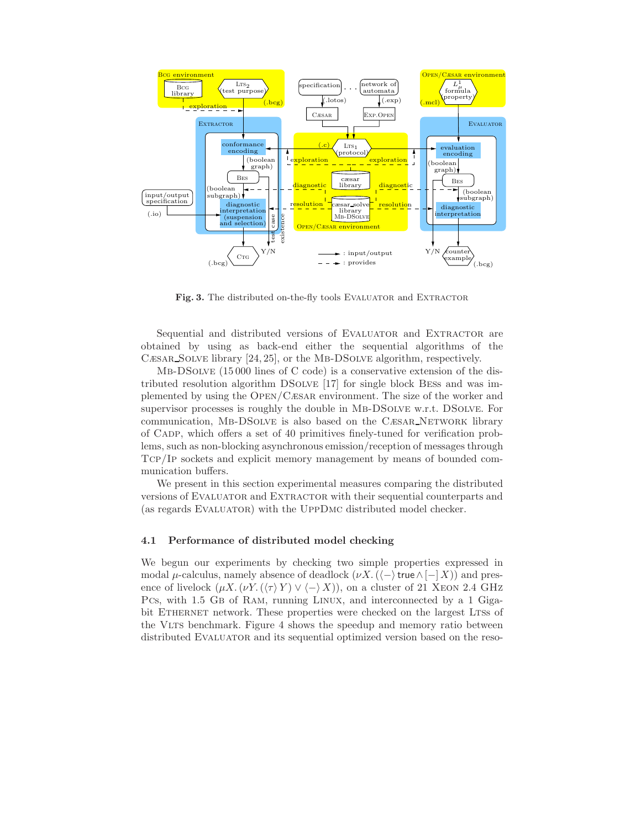

Fig. 3. The distributed on-the-fly tools EVALUATOR and EXTRACTOR

Sequential and distributed versions of EVALUATOR and EXTRACTOR are obtained by using as back-end either the sequential algorithms of the Cæsar Solve library [24, 25], or the Mb-DSolve algorithm, respectively.

 $MB-DSOLVE$  (15000 lines of C code) is a conservative extension of the distributed resolution algorithm DSolve [17] for single block Bess and was implemented by using the Open/Cæsar environment. The size of the worker and supervisor processes is roughly the double in MB-DSOLVE w.r.t. DSOLVE. For communication, MB-DSOLVE is also based on the CÆSAR\_NETWORK library of Cadp, which offers a set of 40 primitives finely-tuned for verification problems, such as non-blocking asynchronous emission/reception of messages through Tcp/Ip sockets and explicit memory management by means of bounded communication buffers.

We present in this section experimental measures comparing the distributed versions of EVALUATOR and EXTRACTOR with their sequential counterparts and (as regards EVALUATOR) with the UPPDMC distributed model checker.

#### **4.1 Performance of distributed model checking**

We begun our experiments by checking two simple properties expressed in modal  $\mu$ -calculus, namely absence of deadlock  $(\nu X.(\langle -\rangle \text{true} \wedge [-X])$  and presence of livelock  $(\mu X.(\nu Y.(\langle \tau \rangle Y) \vee \langle - \rangle X))$ , on a cluster of 21 XEON 2.4 GHz Pcs, with 1.5 GB of RAM, running LINUX, and interconnected by a 1 Gigabit ETHERNET network. These properties were checked on the largest LTSs of the VLTS benchmark. Figure 4 shows the speedup and memory ratio between distributed EVALUATOR and its sequential optimized version based on the reso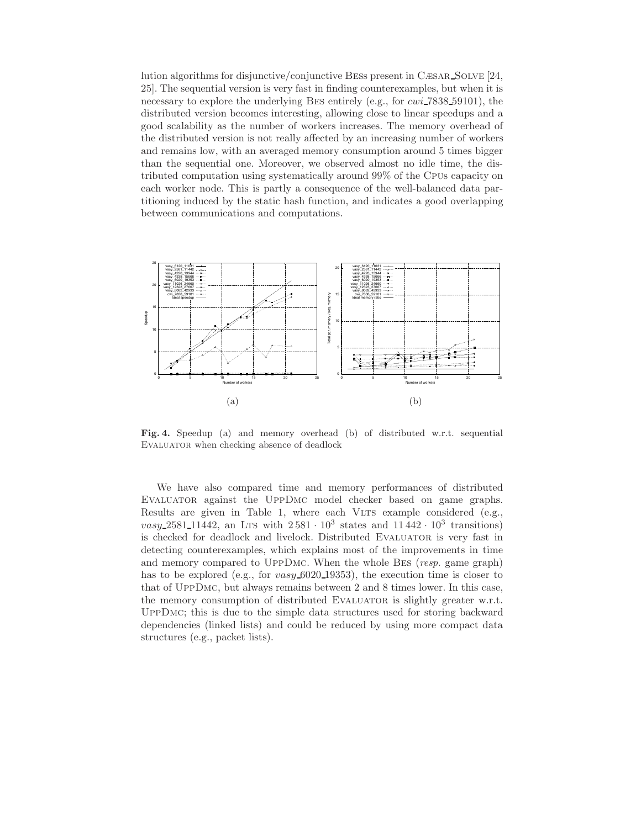lution algorithms for disjunctive/conjunctive Bess present in Cæsar Solve [24, 25]. The sequential version is very fast in finding counterexamples, but when it is necessary to explore the underlying BES entirely (e.g., for  $cwi$ -7838-59101), the distributed version becomes interesting, allowing close to linear speedups and a good scalability as the number of workers increases. The memory overhead of the distributed version is not really affected by an increasing number of workers and remains low, with an averaged memory consumption around 5 times bigger than the sequential one. Moreover, we observed almost no idle time, the distributed computation using systematically around 99% of the Cpus capacity on each worker node. This is partly a consequence of the well-balanced data partitioning induced by the static hash function, and indicates a good overlapping between communications and computations.



**Fig. 4.** Speedup (a) and memory overhead (b) of distributed w.r.t. sequential EVALUATOR when checking absence of deadlock

We have also compared time and memory performances of distributed Evaluator against the UppDmc model checker based on game graphs. Results are given in Table 1, where each VLTS example considered (e.g., vasy 2581 11442, an LTs with  $2581 \cdot 10^3$  states and  $11442 \cdot 10^3$  transitions) is checked for deadlock and livelock. Distributed EVALUATOR is very fast in detecting counterexamples, which explains most of the improvements in time and memory compared to UppDmc. When the whole Bes (*resp.* game graph) has to be explored (e.g., for *vasy* 6020 19353), the execution time is closer to that of UppDmc, but always remains between 2 and 8 times lower. In this case, the memory consumption of distributed EVALUATOR is slightly greater w.r.t. UppDmc; this is due to the simple data structures used for storing backward dependencies (linked lists) and could be reduced by using more compact data structures (e.g., packet lists).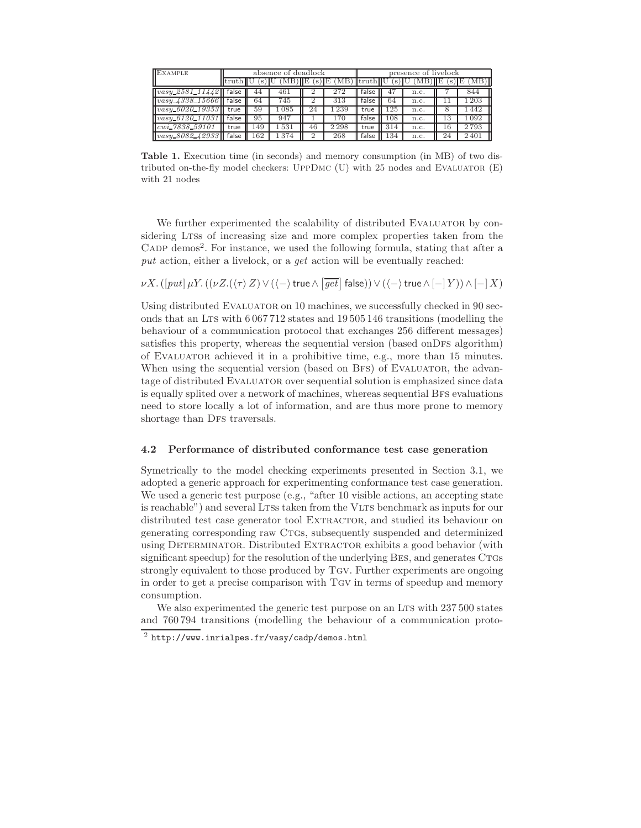| <b>IEXAMPLE</b>                                            | absence of deadlock |     |       |         |         | presence of livelock |      |      |         |                         |
|------------------------------------------------------------|---------------------|-----|-------|---------|---------|----------------------|------|------|---------|-------------------------|
|                                                            | truth∥∪             | s   | MB)IE | . (S) . | 巴       | $(MB)$ [truth $U$    | S    | MВ   | ) II EG | $MB$ ) $\parallel$<br>E |
| $\lceil \text{vasy} \_2581 \_11442 \rceil$ false           |                     | 44  | 461   |         | 272     | false                | 47   | n.c. |         | 844                     |
| $[vasy_4338_15666]$ false                                  |                     | 64  | 745   | 2       | 313     | talse                | 64   | n.c. |         | 1 203                   |
| $\lceil \text{vasy}_{\text{}} 6020_{\text{}} 19353 \rceil$ | true                | 59  | 1 085 | 24      | 1 239   | true                 | 125  | n.c. |         | 1442                    |
| $\lceil \frac{vasy - 6120 - 11031 \rceil}{\rceil}$ false   |                     | 95  | 947   |         | 170     | false                | 108  | n.c. | 13      | 1092                    |
| $cwi_{1}7838_{1}59101$                                     | true                | 149 | 1531  | 46      | 2 2 9 8 | true                 | -314 | n.c. | l 6     | 2793                    |
| $\lceil \text{vasy}\_8082\_42933 \rceil$                   | false               | 162 | 1374  |         | 268     | false                | 134  | n.c. | 24      | 2401                    |

**Table 1.** Execution time (in seconds) and memory consumption (in MB) of two distributed on-the-fly model checkers: UppDmc (U) with 25 nodes and Evaluator (E) with 21 nodes

We further experimented the scalability of distributed EVALUATOR by considering LTSs of increasing size and more complex properties taken from the  $\text{CADP}\$  demos<sup>2</sup>. For instance, we used the following formula, stating that after a *put* action, either a livelock, or a *get* action will be eventually reached:

 $\nu X.\left([put]\,{\mu} Y.\left( (\nu Z.(\langle\tau\rangle\,Z)\vee(\langle-\rangle\, \mathsf{true}\,\wedge\,\overline{[get]}\ \mathsf{false})\right) \vee(\langle-\rangle\,\mathsf{true}\,\wedge\,[-]\,Y)\right) \wedge [-]\,X)$ 

Using distributed EVALUATOR on 10 machines, we successfully checked in 90 seconds that an Lts with 6 067 712 states and 19 505 146 transitions (modelling the behaviour of a communication protocol that exchanges 256 different messages) satisfies this property, whereas the sequential version (based onDFs algorithm) of Evaluator achieved it in a prohibitive time, e.g., more than 15 minutes. When using the sequential version (based on BFS) of EVALUATOR, the advantage of distributed EVALUATOR over sequential solution is emphasized since data is equally splited over a network of machines, whereas sequential BFS evaluations need to store locally a lot of information, and are thus more prone to memory shortage than DFS traversals.

#### **4.2 Performance of distributed conformance test case generation**

Symetrically to the model checking experiments presented in Section 3.1, we adopted a generic approach for experimenting conformance test case generation. We used a generic test purpose (e.g., "after 10 visible actions, an accepting state is reachable") and several LTSs taken from the VLTS benchmark as inputs for our distributed test case generator tool EXTRACTOR, and studied its behaviour on generating corresponding raw CTGs, subsequently suspended and determinized using DETERMINATOR. Distributed EXTRACTOR exhibits a good behavior (with significant speedup) for the resolution of the underlying BES, and generates CTGs strongly equivalent to those produced by Tgv. Further experiments are ongoing in order to get a precise comparison with Tgv in terms of speedup and memory consumption.

We also experimented the generic test purpose on an LTS with  $237\,500$  states and 760 794 transitions (modelling the behaviour of a communication proto-

 $^{2}$  http://www.inrialpes.fr/vasy/cadp/demos.html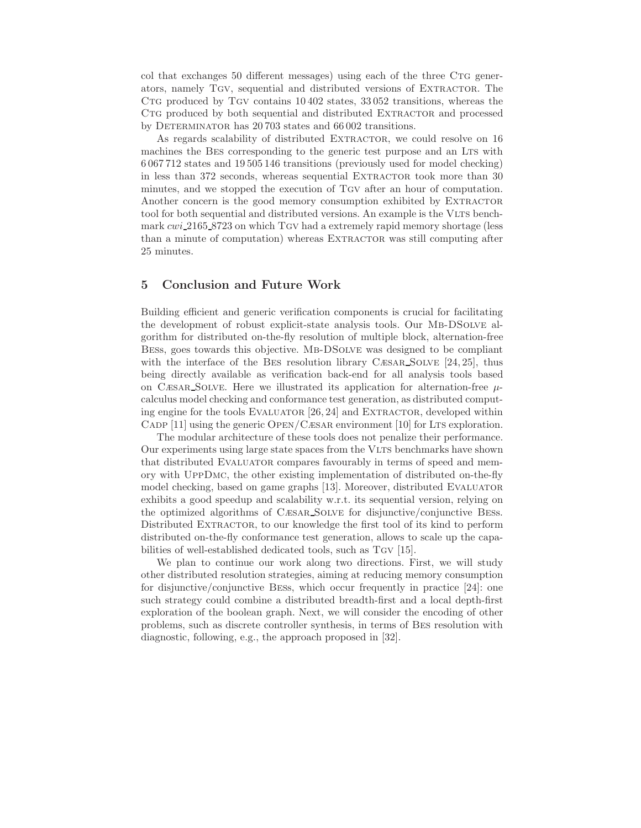col that exchanges 50 different messages) using each of the three CTG generators, namely Tgv, sequential and distributed versions of Extractor. The CTG produced by TGV contains  $10\,402$  states,  $33\,052$  transitions, whereas the CTG produced by both sequential and distributed EXTRACTOR and processed by DETERMINATOR has 20703 states and 66 002 transitions.

As regards scalability of distributed EXTRACTOR, we could resolve on 16 machines the BES corresponding to the generic test purpose and an LTS with 6 067 712 states and 19 505 146 transitions (previously used for model checking) in less than 372 seconds, whereas sequential EXTRACTOR took more than 30 minutes, and we stopped the execution of Tgv after an hour of computation. Another concern is the good memory consumption exhibited by EXTRACTOR tool for both sequential and distributed versions. An example is the VLTS benchmark  $cwi$  2165 8723 on which TGV had a extremely rapid memory shortage (less than a minute of computation) whereas EXTRACTOR was still computing after 25 minutes.

## **5 Conclusion and Future Work**

Building efficient and generic verification components is crucial for facilitating the development of robust explicit-state analysis tools. Our Mb-DSolve algorithm for distributed on-the-fly resolution of multiple block, alternation-free Bess, goes towards this objective. Mb-DSolve was designed to be compliant with the interface of the BES resolution library CÆSAR\_SOLVE  $[24, 25]$ , thus being directly available as verification back-end for all analysis tools based on Cæsar Solve. Here we illustrated its application for alternation-free  $\mu$ calculus model checking and conformance test generation, as distributed computing engine for the tools EVALUATOR [26, 24] and EXTRACTOR, developed within CADP  $[11]$  using the generic OPEN/CÆSAR environment  $[10]$  for LTS exploration.

The modular architecture of these tools does not penalize their performance. Our experiments using large state spaces from the VLTS benchmarks have shown that distributed EVALUATOR compares favourably in terms of speed and memory with UppDmc, the other existing implementation of distributed on-the-fly model checking, based on game graphs [13]. Moreover, distributed EVALUATOR exhibits a good speedup and scalability w.r.t. its sequential version, relying on the optimized algorithms of Cæsar Solve for disjunctive/conjunctive Bess. Distributed EXTRACTOR, to our knowledge the first tool of its kind to perform distributed on-the-fly conformance test generation, allows to scale up the capabilities of well-established dedicated tools, such as Tgv [15].

We plan to continue our work along two directions. First, we will study other distributed resolution strategies, aiming at reducing memory consumption for disjunctive/conjunctive Bess, which occur frequently in practice [24]: one such strategy could combine a distributed breadth-first and a local depth-first exploration of the boolean graph. Next, we will consider the encoding of other problems, such as discrete controller synthesis, in terms of Bes resolution with diagnostic, following, e.g., the approach proposed in [32].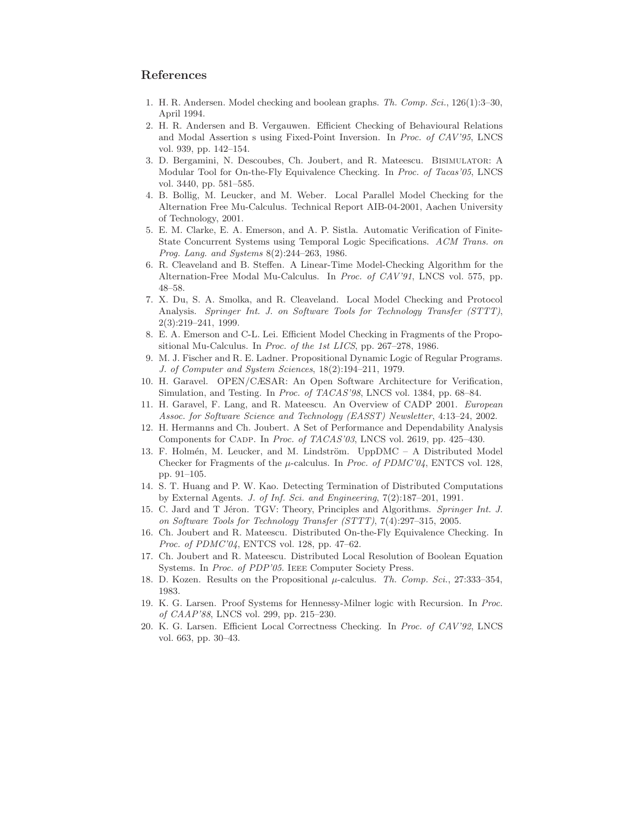## **References**

- 1. H. R. Andersen. Model checking and boolean graphs. *Th. Comp. Sci.*, 126(1):3–30, April 1994.
- 2. H. R. Andersen and B. Vergauwen. Efficient Checking of Behavioural Relations and Modal Assertion s using Fixed-Point Inversion. In *Proc. of CAV'95*, LNCS vol. 939, pp. 142–154.
- 3. D. Bergamini, N. Descoubes, Ch. Joubert, and R. Mateescu. Bisimulator: A Modular Tool for On-the-Fly Equivalence Checking. In *Proc. of Tacas'05*, LNCS vol. 3440, pp. 581–585.
- 4. B. Bollig, M. Leucker, and M. Weber. Local Parallel Model Checking for the Alternation Free Mu-Calculus. Technical Report AIB-04-2001, Aachen University of Technology, 2001.
- 5. E. M. Clarke, E. A. Emerson, and A. P. Sistla. Automatic Verification of Finite-State Concurrent Systems using Temporal Logic Specifications. *ACM Trans. on Prog. Lang. and Systems* 8(2):244–263, 1986.
- 6. R. Cleaveland and B. Steffen. A Linear-Time Model-Checking Algorithm for the Alternation-Free Modal Mu-Calculus. In *Proc. of CAV'91*, LNCS vol. 575, pp. 48–58.
- 7. X. Du, S. A. Smolka, and R. Cleaveland. Local Model Checking and Protocol Analysis. *Springer Int. J. on Software Tools for Technology Transfer (STTT)*, 2(3):219–241, 1999.
- 8. E. A. Emerson and C-L. Lei. Efficient Model Checking in Fragments of the Propositional Mu-Calculus. In *Proc. of the 1st LICS*, pp. 267–278, 1986.
- 9. M. J. Fischer and R. E. Ladner. Propositional Dynamic Logic of Regular Programs. *J. of Computer and System Sciences*, 18(2):194–211, 1979.
- 10. H. Garavel. OPEN/CÆSAR: An Open Software Architecture for Verification, Simulation, and Testing. In *Proc. of TACAS'98*, LNCS vol. 1384, pp. 68–84.
- 11. H. Garavel, F. Lang, and R. Mateescu. An Overview of CADP 2001. *European Assoc. for Software Science and Technology (EASST) Newsletter*, 4:13–24, 2002.
- 12. H. Hermanns and Ch. Joubert. A Set of Performance and Dependability Analysis Components for Cadp. In *Proc. of TACAS'03*, LNCS vol. 2619, pp. 425–430.
- 13. F. Holmén, M. Leucker, and M. Lindström. Upp $\text{DMC} \text{A}$  Distributed Model Checker for Fragments of the  $\mu$ -calculus. In *Proc. of PDMC'04*, ENTCS vol. 128, pp. 91–105.
- 14. S. T. Huang and P. W. Kao. Detecting Termination of Distributed Computations by External Agents. *J. of Inf. Sci. and Engineering*, 7(2):187–201, 1991.
- 15. C. Jard and T Jéron. TGV: Theory, Principles and Algorithms. *Springer Int. J. on Software Tools for Technology Transfer (STTT)*, 7(4):297–315, 2005.
- 16. Ch. Joubert and R. Mateescu. Distributed On-the-Fly Equivalence Checking. In *Proc. of PDMC'04*, ENTCS vol. 128, pp. 47–62.
- 17. Ch. Joubert and R. Mateescu. Distributed Local Resolution of Boolean Equation Systems. In *Proc. of PDP'05*. Ieee Computer Society Press.
- 18. D. Kozen. Results on the Propositional  $\mu$ -calculus. *Th. Comp. Sci.*, 27:333-354, 1983.
- 19. K. G. Larsen. Proof Systems for Hennessy-Milner logic with Recursion. In *Proc. of CAAP'88*, LNCS vol. 299, pp. 215–230.
- 20. K. G. Larsen. Efficient Local Correctness Checking. In *Proc. of CAV'92*, LNCS vol. 663, pp. 30–43.